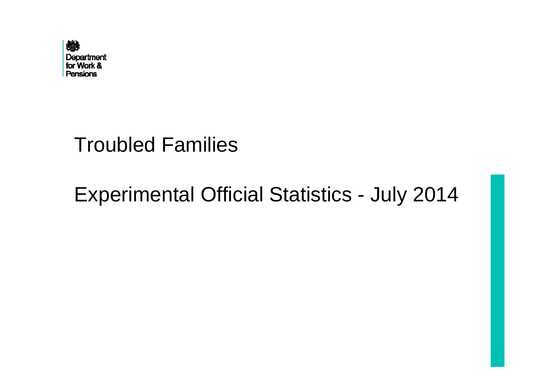

## Troubled Families

# Experimental Official Statistics - July 2014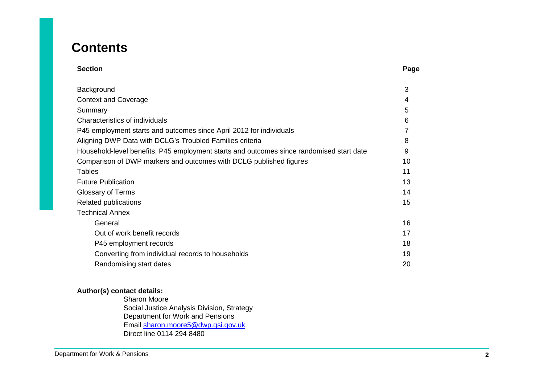### **Contents**

| <b>Section</b> | Page |
|----------------|------|
|----------------|------|

| Background                                                                               | 3  |
|------------------------------------------------------------------------------------------|----|
| <b>Context and Coverage</b>                                                              | 4  |
| Summary                                                                                  | 5  |
| Characteristics of individuals                                                           | 6  |
| P45 employment starts and outcomes since April 2012 for individuals                      |    |
| Aligning DWP Data with DCLG's Troubled Families criteria                                 | 8  |
| Household-level benefits, P45 employment starts and outcomes since randomised start date | 9  |
| Comparison of DWP markers and outcomes with DCLG published figures                       | 10 |
| <b>Tables</b>                                                                            | 11 |
| <b>Future Publication</b>                                                                | 13 |
| <b>Glossary of Terms</b>                                                                 | 14 |
| Related publications                                                                     | 15 |
| <b>Technical Annex</b>                                                                   |    |
| General                                                                                  | 16 |
| Out of work benefit records                                                              | 17 |
| P45 employment records                                                                   | 18 |
| Converting from individual records to households                                         | 19 |
| Randomising start dates                                                                  | 20 |

### **Author(s) contact details:**

Sharon Moore Social Justice Analysis Division, Strategy Department for Work and Pensions Email sharon.moore5@dwp.gsi.gov.uk Direct line 0114 294 8480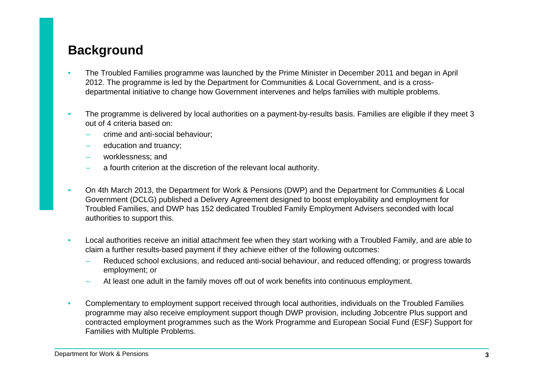### <span id="page-2-0"></span>**Background**

- • The Troubled Families programme was launched by the Prime Minister in December 2011 and began in April 2012. The programme is led by the Department for Communities & Local Government, and is a crossdepartmental initiative to change how Government intervenes and helps families with multiple problems.
- • The programme is delivered by local authorities on a payment-by-results basis. Families are eligible if they meet 3 out of 4 criteria based on:
	- crime and anti-social behaviour;
	- education and truancy;
	- worklessness; and
	- a fourth criterion at the discretion of the relevant local authority.
- • On 4th March 2013, the Department for Work & Pensions (DWP) and the Department for Communities & Local Government (DCLG) published a Delivery Agreement designed to boost employability and employment for Troubled Families, and DWP has 152 dedicated Troubled Family Employment Advisers seconded with local authorities to support this.
- • Local authorities receive an initial attachment fee when they start working with a Troubled Family, and are able to claim a further results-based payment if they achieve either of the following outcomes:
	- Reduced school exclusions, and reduced anti-social behaviour, and reduced offending; or progress towards employment; or
	- At least one adult in the family moves off out of work benefits into continuous employment.
- • Complementary to employment support received through local authorities, individuals on the Troubled Families programme may also receive employment support though DWP provision, including Jobcentre Plus support and contracted employment programmes such as the Work Programme and European Social Fund (ESF) Support for Families with Multiple Problems.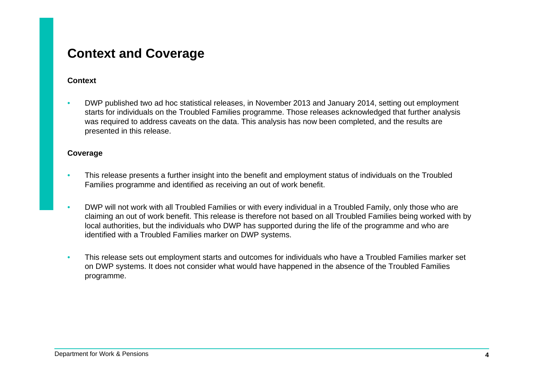### <span id="page-3-0"></span>**Context and Coverage**

#### **Context**

• DWP published two ad hoc statistical releases, in November 2013 and January 2014, setting out employment starts for individuals on the Troubled Families programme. Those releases acknowledged that further analysis was required to address caveats on the data. This analysis has now been completed, and the results are presented in this release.

#### **Coverage**

- • This release presents a further insight into the benefit and employment status of individuals on the Troubled Families programme and identified as receiving an out of work benefit.
- • DWP will not work with all Troubled Families or with every individual in a Troubled Family, only those who are claiming an out of work benefit. This release is therefore not based on all Troubled Families being worked with by local authorities, but the individuals who DWP has supported during the life of the programme and who are identified with a Troubled Families marker on DWP systems.
- • This release sets out employment starts and outcomes for individuals who have a Troubled Families marker set on DWP systems. It does not consider what would have happened in the absence of the Troubled Families programme.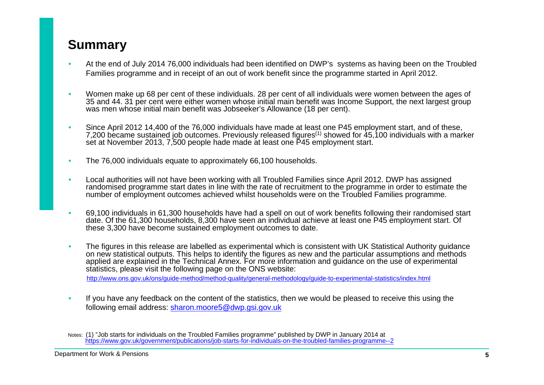### <span id="page-4-0"></span>**Summary**

- • At the end of July 2014 76,000 individuals had been identified on DWP's systems as having been on the Troubled Families programme and in receipt of an out of work benefit since the programme started in April 2012.
- • Women make up 68 per cent of these individuals. 28 per cent of all individuals were women between the ages of 35 and 44. 31 per cent were either women whose initial main benefit was Income Support, the next largest group was men whose initial main benefit was Jobseeker's Allowance (18 per cent).
- • Since April 2012 14,400 of the 76,000 individuals have made at least one P45 employment start, and of these, 7,200 became sustained job outcomes. Previously released figures<sup>(1)</sup> showed for 45,100 individuals with a marker set at November 2013, 7,500 people hade made at least one P45 employment start.
- •The 76,000 individuals equate to approximately 66,100 households.
- • Local authorities will not have been working with all Troubled Families since April 2012. DWP has assigned randomised programme start dates in line with the rate of recruitment to the programme in order to estimate the number of employment outcomes achieved whilst households were on the Troubled Families programme.
- • 69,100 individuals in 61,300 households have had a spell on out of work benefits following their randomised start date. Of the 61,300 households, 8,300 have seen an individual achieve at least one P45 employment start. Of these 3,300 have become sustained employment outcomes to date.
- • The figures in this release are labelled as experimental which is consistent with UK Statistical Authority guidance on new statistical outputs. This helps to identify the figures as new and the particular assumptions and methods applied are explained in the Technical Annex. For more information and guidance on the use of experimental statistics, please visit the following page on the ONS website:

http://www.ons.gov.uk/ons/guide-method/method-quality/general-methodology/guide-to-experimental-statistics/index.html

• If you have any feedback on the content of the statistics, then we would be pleased to receive this using the following email address: sharon.moore5@dwp.gsi.gov.uk

Notes: (1) "Job starts for individuals on the Troubled Families programme" published by DWP in January 2014 at https://www.gov.uk/government/publications/job-starts-for-individuals-on-the-troubled-families-programme--2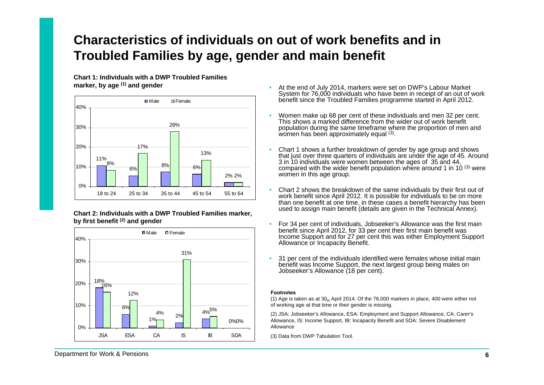### <span id="page-5-0"></span>**Characteristics of individuals on out of work benefits and in Troubled Families by age, gender and main benefit**

**Chart 1: Individuals with a DWP Troubled Families marker, by age (1) and gender** •



**Chart 2: Individuals with a DWP Troubled Families marker, by first benefit (2) and gender** 



- At the end of July 2014, markers were set on DWP's Labour Market System for 76,000 individuals who have been in receipt of an out of work benefit since the Troubled Families programme started in April 2012.
- • Women make up 68 per cent of these individuals and men 32 per cent. This shows a marked difference from the wider out of work benefit population during the same timeframe where the proportion of men and women has been approximately equal (3).
- • Chart 1 shows a further breakdown of gender by age group and shows that just over three quarters of individuals are under the age of 45. Around 3 in 10 individuals were women between the ages of 35 and 44, compared with the wider benefit population where around 1 in 10 $(3)$  were women in this age group.
- • Chart 2 shows the breakdown of the same individuals by their first out of work benefit since April 2012. It is possible for individuals to be on more than one benefit at one time, in these cases a benefit hierarchy has been used to assign main benefit (details are given in the Technical Annex).
- • For 34 per cent of individuals, Jobseeker's Allowance was the first main benefit since April 2012, for 33 per cent their first main benefit was Income Support and for 27 per cent this was either Employment Support Allowance or Incapacity Benefit.
- • 31 per cent of the individuals identified were females whose initial main benefit was Income Support, the next largest group being males on Jobseeker's Allowance (18 per cent).

#### **Footnotes**

(1) Age is taken as at 30 $_{\rm th}$  April 2014. Of the 76,000 markers in place, 400 were either not of working age at that time or their gender is missing.

(2) JSA: Jobseeker's Allowance, ESA: Employment and Support Allowance, CA: Carer's Allowance, IS: Income Support, IB: Incapacity Benefit and SDA: Severe Disablement Allowance

(3) Data from DWP Tabulation Tool.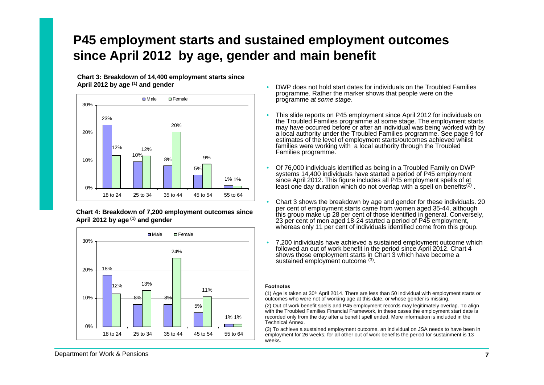### <span id="page-6-0"></span>**P45 employment starts and sustained employment outcomes since April 2012 by age, gender and main benefit**

•

•

**Chart 3: Breakdown of 14,400 employment starts since April 2012 by age (1) and gender** 



**Chart 4: Breakdown of 7,200 employment outcomes since April 2012 by age (1) and gender** 



- • DWP does not hold start dates for individuals on the Troubled Familiesprogramme. Rather the marker shows that people were on the programme *at some stage*.
- This slide reports on P45 employment since April 2012 for individuals on the Troubled Families programme at some stage. The employment starts may have occurred before or after an individual was being worked with by a local authority under the Troubled Families programme. See page 9 for estimates of the level of employment starts/outcomes achieved whilst families were working with a local authority through the Troubled Families programme.
- Of 76,000 individuals identified as being in a Troubled Family on DWP systems 14,400 individuals have started a period of P45 employment since April 2012. This figure includes all P45 employment spells of at least one day duration which do not overlap with a spell on benefits<sup>(2)</sup>.
- • Chart 3 shows the breakdown by age and gender for these individuals. 20 per cent of employment starts came from women aged 35-44, although this group make up 28 per cent of those identified in general. Conversely, 23 per cent of men aged 18-24 started a period of P45 employment, whereas only 11 per cent of individuals identified come from this group.
- • 7,200 individuals have achieved a sustained employment outcome which followed an out of work benefit in the period since April 2012. Chart 4 shows those employment starts in Chart 3 which have become a sustained employment outcome (3).

#### **Footnotes**

(1) Age is taken at 30<sup>th</sup> April 2014. There are less than 50 individual with employment starts or outcomes who were not of working age at this date, or whose gender is missing.

(2) Out of work benefit spells and P45 employment records may legitimately overlap. To align with the Troubled Families Financial Framework, in these cases the employment start date is recorded only from the day after a benefit spell ended. More information is included in the Technical Annex.

(3) To achieve a sustained employment outcome, an individual on JSA needs to have been in employment for 26 weeks; for all other out of work benefits the period for sustainment is 13 weeks.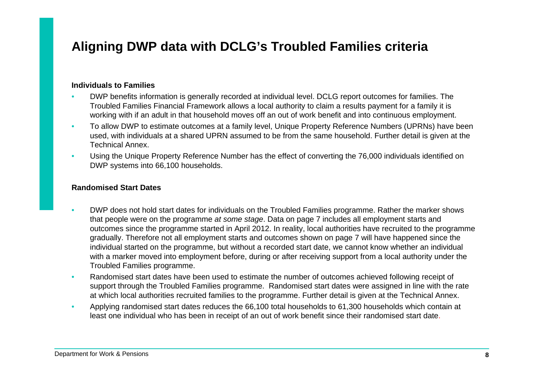### <span id="page-7-0"></span>**Aligning DWP data with DCLG's Troubled Families criteria**

#### **Individuals to Families**

- • DWP benefits information is generally recorded at individual level. DCLG report outcomes for families. The Troubled Families Financial Framework allows a local authority to claim a results payment for a family it is working with if an adult in that household moves off an out of work benefit and into continuous employment.
- • To allow DWP to estimate outcomes at a family level, Unique Property Reference Numbers (UPRNs) have been used, with individuals at a shared UPRN assumed to be from the same household. Further detail is given at the Technical Annex.
- • Using the Unique Property Reference Number has the effect of converting the 76,000 individuals identified on DWP systems into 66,100 households.

#### **Randomised Start Dates**

- • DWP does not hold start dates for individuals on the Troubled Families programme. Rather the marker shows that people were on the programme *at some stage*. Data on page 7 includes all employment starts and outcomes since the programme started in April 2012. In reality, local authorities have recruited to the programme gradually. Therefore not all employment starts and outcomes shown on page 7 will have happened since the individual started on the programme, but without a recorded start date, we cannot know whether an individual with a marker moved into employment before, during or after receiving support from a local authority under the Troubled Families programme.
- • Randomised start dates have been used to estimate the number of outcomes achieved following receipt of support through the Troubled Families programme. Randomised start dates were assigned in line with the rate at which local authorities recruited families to the programme. Further detail is given at the Technical Annex.
- • Applying randomised start dates reduces the 66,100 total households to 61,300 households which contain at least one individual who has been in receipt of an out of work benefit since their randomised start date.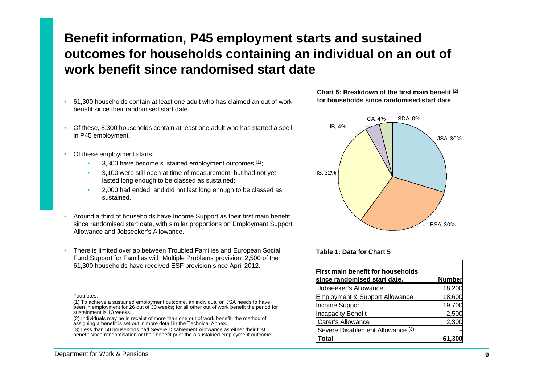### <span id="page-8-0"></span>**Benefit information, P45 employment starts and sustained outcomes for households containing an individual on an out of work benefit since randomised start date**

- • 61,300 households contain at least one adult who has claimed an out of work **for households since randomised start date**  benefit since their randomised start date.
- • Of these, 8,300 households contain at least one adult who has started a spell in P45 employment.
- • Of these employment starts:
	- •3,300 have become sustained employment outcomes (1);
	- •3,100 were still open at time of measurement, but had not yet **IS**, 32% lasted long enough to be classed as sustained;
	- • 2,000 had ended, and did not last long enough to be classed as sustained.
- • Around a third of households have Income Support as their first main benefit since randomised start date, with similar proportions on Employment Support Allowance and Jobseeker's Allowance.
- There is limited overlap between Troubled Families and European Social **Table 1: Data for Chart 5** Fund Support for Families with Multiple Problems provision. 2,500 of the 61,300 households have received ESF provision since April 2012.

#### Footnotes:

(2) Individuals may be in receipt of more than one out of work benefit, the method of assigning a benefit is set out in more detail in the Technical Annex.

(3) Less than 50 households had Severe Disablement Allowance as either their first benefit since randomisation or their benefit prior the a sustained employment outcome.

### **Chart 5: Breakdown of the first main benefit (2)**



| First main benefit for households         |               |
|-------------------------------------------|---------------|
| since randomised start date.              | <b>Number</b> |
| Jobseeker's Allowance                     | 18,200        |
| <b>Employment &amp; Support Allowance</b> | 18,600        |
| Income Support                            | 19,700        |
| Incapacity Benefit                        | 2,500         |
| Carer's Allowance                         | 2,300         |
| Severe Disablement Allowance (3)          |               |
| Total                                     | 61,300        |

<sup>(1)</sup> To achieve a sustained employment outcome, an individual on JSA needs to have been in employment for 26 out of 30 weeks; for all other out of work benefit the period for sustainment is 13 weeks.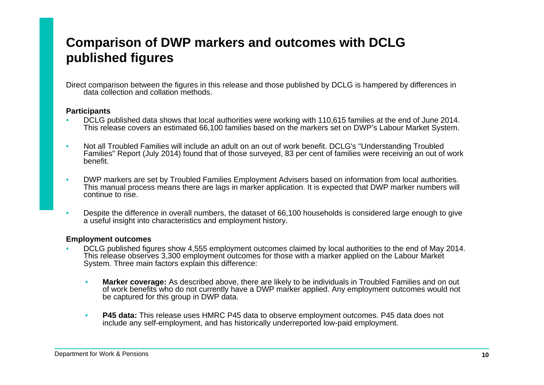### <span id="page-9-0"></span>**Comparison of DWP markers and outcomes with DCLG published figures**

Direct comparison between the figures in this release and those published by DCLG is hampered by differences in data collection and collation methods.

#### **Participants**

- • DCLG published data shows that local authorities were working with 110,615 families at the end of June 2014. This release covers an estimated 66,100 families based on the markers set on DWP's Labour Market System.
- • Not all Troubled Families will include an adult on an out of work benefit. DCLG's "Understanding Troubled Families" Report (July 2014) found that of those surveyed, 83 per cent of families were receiving an out of work benefit.
- • DWP markers are set by Troubled Families Employment Advisers based on information from local authorities. This manual process means there are lags in marker application. It is expected that DWP marker numbers will continue to rise.
- • Despite the difference in overall numbers, the dataset of 66,100 households is considered large enough to give a useful insight into characteristics and employment history.

#### **Employment outcomes**

- • DCLG published figures show 4,555 employment outcomes claimed by local authorities to the end of May 2014. This release observes 3,300 employment outcomes for those with a marker applied on the Labour Market System. Three main factors explain this difference:
	- • **Marker coverage:** As described above, there are likely to be individuals in Troubled Families and on out of work benefits who do not currently have a DWP marker applied. Any employment outcomes would not be captured for this group in DWP data.
	- • **P45 data:** This release uses HMRC P45 data to observe employment outcomes. P45 data does not include any self-employment, and has historically underreported low-paid employment.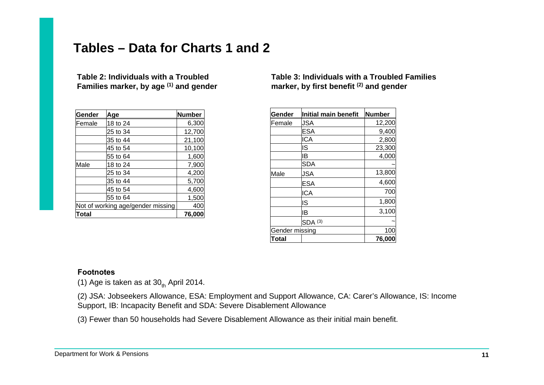### <span id="page-10-0"></span>**Tables – Data for Charts 1 and 2**

**Families marker, by age <sup>(1)</sup> and gender marker, by first benefit <sup>(2)</sup> and gender** 

| Gender  | Age                               | <b>Number</b> |
|---------|-----------------------------------|---------------|
| lFemale | 18 to 24                          | 6,300         |
|         | 25 to 34                          | 12,700        |
|         | 35 to 44                          | 21,100        |
|         | 45 to 54                          | 10,100        |
|         | 55 to 64                          | 1,600         |
| Male    | 18 to 24                          | 7,900         |
|         | 25 to 34                          | 4,200         |
|         | 35 to 44                          | 5,700         |
|         | 45 to 54                          | 4,600         |
|         | 55 to 64                          | 1,500         |
|         | Not of working age/gender missing | 400           |
| Total   |                                   | 76,000        |

## **Table 2: Individuals with a Troubled Table 3: Individuals with a Troubled Families**

| Gender         | Initial main benefit | <b>Number</b> |
|----------------|----------------------|---------------|
| Female         | JSA                  | 12,200        |
|                | <b>ESA</b>           | 9,400         |
|                | <b>ICA</b>           | 2,800         |
|                | IS                   | 23,300        |
|                | ΙB                   | 4,000         |
|                | <b>SDA</b>           |               |
| Male           | <b>JSA</b>           | 13,800        |
|                | <b>ESA</b>           | 4,600         |
|                | <b>ICA</b>           | 700           |
|                | IS                   | 1,800         |
|                | IB                   | 3,100         |
|                | $SDA$ (3)            |               |
| Gender missing |                      | 10C           |
| Total          |                      | 76,000        |

#### **Footnotes**

(1) Age is taken as at  $30<sub>th</sub>$  April 2014.

(2) JSA: Jobseekers Allowance, ESA: Employment and Support Allowance, CA: Carer's Allowance, IS: Income Support, IB: Incapacity Benefit and SDA: Severe Disablement Allowance

(3) Fewer than 50 households had Severe Disablement Allowance as their initial main benefit.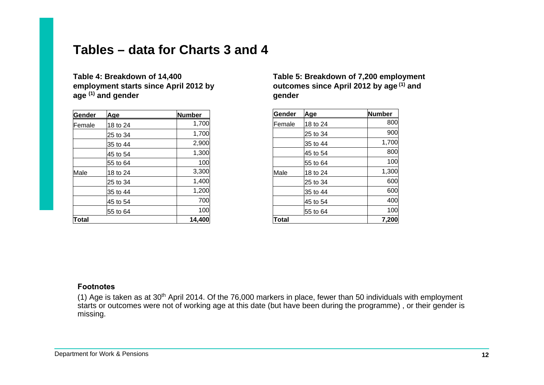### **Tables – data for Charts 3 and 4**

age <sup>(1)</sup> and gender **general contract and general contract of the general contract of the general contract of the general contract of the general contract of the general contract of the general contract of the general con** 

| Gender | Age       | Number |
|--------|-----------|--------|
| Female | 18 to 24  | 1,700  |
|        | l25 to 34 | 1,700  |
|        | 35 to 44  | 2,900  |
|        | l45 to 54 | 1,300  |
|        | l55 to 64 | 100    |
| Male   | 18 to 24  | 3,300  |
|        | 25 to 34  | 1,400  |
|        | 35 to 44  | 1,200  |
|        | 45 to 54  | 700    |
|        | 55 to 64  | 100    |
| Total  |           | 14,400 |

### **Table 4: Breakdown of 14,400 Table 5: Breakdown of 7,200 employment**  outcomes since April 2012 by age <sup>(1)</sup> and

| Gender | Age      | Number |
|--------|----------|--------|
| Female | 18 to 24 | 800    |
|        | 25 to 34 | 900    |
|        | 35 to 44 | 1,700  |
|        | 45 to 54 | 800    |
|        | 55 to 64 | 100    |
| Male   | 18 to 24 | 1,300  |
|        | 25 to 34 | 600    |
|        | 35 to 44 | 600    |
|        | 45 to 54 | 400    |
|        | 55 to 64 | 100    |
| Total  |          | 7,200  |

#### **Footnotes**

(1) Age is taken as at 30<sup>th</sup> April 2014. Of the 76,000 markers in place, fewer than 50 individuals with employment starts or outcomes were not of working age at this date (but have been during the programme), or their gender is missing.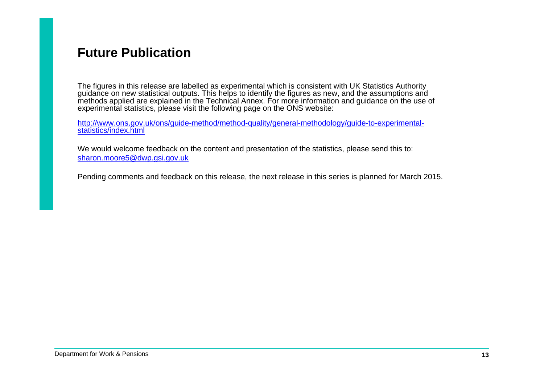### <span id="page-12-0"></span>**Future Publication**

The figures in this release are labelled as experimental which is consistent with UK Statistics Authority guidance on new statistical outputs. This helps to identify the figures as new, and the assumptions and methods applied are explained in the Technical Annex. For more information and guidance on the use of experimental statistics, please visit the following page on the ONS website:

http://www.ons.gov.uk/ons/guide-method/method-quality/general-methodology/guide-to-experimentalstatistics/index.html

We would welcome feedback on the content and presentation of the statistics, please send this to: sharon.moore5@dwp.gsi.gov.uk

Pending comments and feedback on this release, the next release in this series is planned for March 2015.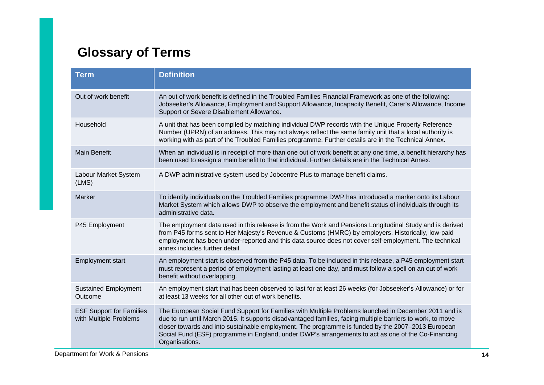### <span id="page-13-0"></span>**Glossary of Terms**

| <b>Term</b>                                               | <b>Definition</b>                                                                                                                                                                                                                                                                                                                                                                                                                                |
|-----------------------------------------------------------|--------------------------------------------------------------------------------------------------------------------------------------------------------------------------------------------------------------------------------------------------------------------------------------------------------------------------------------------------------------------------------------------------------------------------------------------------|
| Out of work benefit                                       | An out of work benefit is defined in the Troubled Families Financial Framework as one of the following:<br>Jobseeker's Allowance, Employment and Support Allowance, Incapacity Benefit, Carer's Allowance, Income<br>Support or Severe Disablement Allowance.                                                                                                                                                                                    |
| Household                                                 | A unit that has been compiled by matching individual DWP records with the Unique Property Reference<br>Number (UPRN) of an address. This may not always reflect the same family unit that a local authority is<br>working with as part of the Troubled Families programme. Further details are in the Technical Annex.                                                                                                                           |
| <b>Main Benefit</b>                                       | When an individual is in receipt of more than one out of work benefit at any one time, a benefit hierarchy has<br>been used to assign a main benefit to that individual. Further details are in the Technical Annex.                                                                                                                                                                                                                             |
| Labour Market System<br>(LMS)                             | A DWP administrative system used by Jobcentre Plus to manage benefit claims.                                                                                                                                                                                                                                                                                                                                                                     |
| Marker                                                    | To identify individuals on the Troubled Families programme DWP has introduced a marker onto its Labour<br>Market System which allows DWP to observe the employment and benefit status of individuals through its<br>administrative data.                                                                                                                                                                                                         |
| P45 Employment                                            | The employment data used in this release is from the Work and Pensions Longitudinal Study and is derived<br>from P45 forms sent to Her Majesty's Revenue & Customs (HMRC) by employers. Historically, low-paid<br>employment has been under-reported and this data source does not cover self-employment. The technical<br>annex includes further detail.                                                                                        |
| <b>Employment start</b>                                   | An employment start is observed from the P45 data. To be included in this release, a P45 employment start<br>must represent a period of employment lasting at least one day, and must follow a spell on an out of work<br>benefit without overlapping.                                                                                                                                                                                           |
| <b>Sustained Employment</b><br>Outcome                    | An employment start that has been observed to last for at least 26 weeks (for Jobseeker's Allowance) or for<br>at least 13 weeks for all other out of work benefits.                                                                                                                                                                                                                                                                             |
| <b>ESF Support for Families</b><br>with Multiple Problems | The European Social Fund Support for Families with Multiple Problems launched in December 2011 and is<br>due to run until March 2015. It supports disadvantaged families, facing multiple barriers to work, to move<br>closer towards and into sustainable employment. The programme is funded by the 2007-2013 European<br>Social Fund (ESF) programme in England, under DWP's arrangements to act as one of the Co-Financing<br>Organisations. |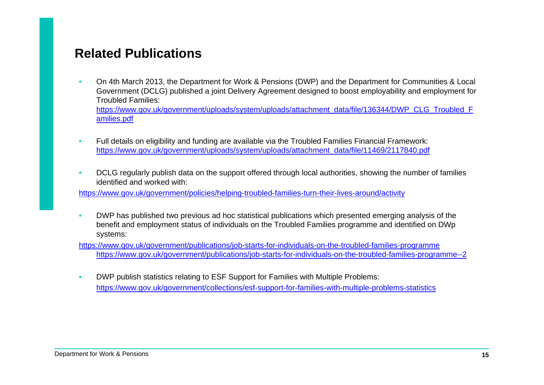### <span id="page-14-0"></span>**Related Publications**

• On 4th March 2013, the Department for Work & Pensions (DWP) and the Department for Communities & Local Government (DCLG) published a joint Delivery Agreement designed to boost employability and employment for Troubled Families:

[https://www.gov.uk/government/uploads/system/uploads/attachment\\_data/file/136344/DWP\\_CLG\\_Troubled\\_F](https://www.gov.uk/government/uploads/system/uploads/attachment_data/file/136344/DWP_CLG_Troubled_Families.pdf) amilies.pdf

- • Full details on eligibility and funding are available via the Troubled Families Financial Framework: https://www.gov.uk/government/uploads/system/uploads/attachment\_data/file/11469/2117840.pdf
- • DCLG regularly publish data on the support offered through local authorities, showing the number of families identified and worked with:

https://www.gov.uk/government/policies/helping-troubled-families-turn-their-lives-around/activity

• DWP has published two previous ad hoc statistical publications which presented emerging analysis of the benefit and employment status of individuals on the Troubled Families programme and identified on DWp systems:

https://www.gov.uk/government/publications/job-starts-for-individuals-on-the-troubled-families-programme https://www.gov.uk/government/publications/job-starts-for-individuals-on-the-troubled-families-programme--2

• DWP publish statistics relating to ESF Support for Families with Multiple Problems: https://www.gov.uk/government/collections/esf-support-for-families-with-multiple-problems-statistics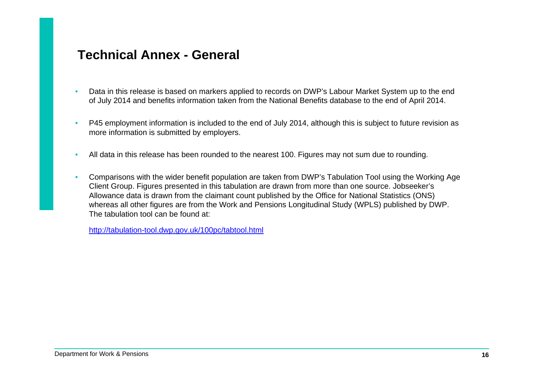### <span id="page-15-0"></span>**Technical Annex - General**

- • Data in this release is based on markers applied to records on DWP's Labour Market System up to the end of July 2014 and benefits information taken from the National Benefits database to the end of April 2014.
- • P45 employment information is included to the end of July 2014, although this is subject to future revision as more information is submitted by employers.
- •All data in this release has been rounded to the nearest 100. Figures may not sum due to rounding.
- • Comparisons with the wider benefit population are taken from DWP's Tabulation Tool using the Working Age Client Group. Figures presented in this tabulation are drawn from more than one source. Jobseeker's Allowance data is drawn from the claimant count published by the Office for National Statistics (ONS) whereas all other figures are from the Work and Pensions Longitudinal Study (WPLS) published by DWP. The tabulation tool can be found at:

http://tabulation-tool.dwp.gov.uk/100pc/tabtool.html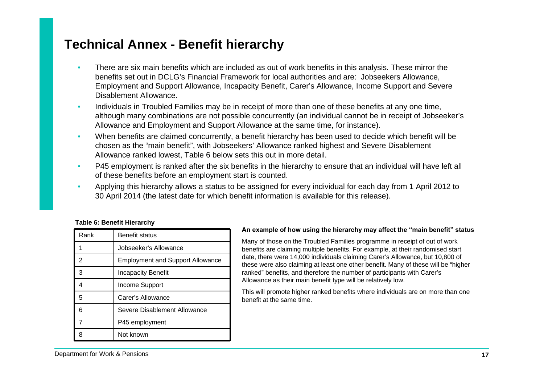### <span id="page-16-0"></span>**Technical Annex - Benefit hierarchy**

- • There are six main benefits which are included as out of work benefits in this analysis. These mirror the benefits set out in DCLG's Financial Framework for local authorities and are: Jobseekers Allowance, Employment and Support Allowance, Incapacity Benefit, Carer's Allowance, Income Support and Severe Disablement Allowance.
- • Individuals in Troubled Families may be in receipt of more than one of these benefits at any one time, although many combinations are not possible concurrently (an individual cannot be in receipt of Jobseeker's Allowance and Employment and Support Allowance at the same time, for instance).
- • When benefits are claimed concurrently, a benefit hierarchy has been used to decide which benefit will be chosen as the "main benefit", with Jobseekers' Allowance ranked highest and Severe Disablement Allowance ranked lowest, Table 6 below sets this out in more detail.
- • P45 employment is ranked after the six benefits in the hierarchy to ensure that an individual will have left all of these benefits before an employment start is counted.
- • Applying this hierarchy allows a status to be assigned for every individual for each day from 1 April 2012 to 30 April 2014 (the latest date for which benefit information is available for this release).

|  |  |  | <b>Table 6: Benefit Hierarchy</b> |
|--|--|--|-----------------------------------|
|--|--|--|-----------------------------------|

| Rank | Benefit status                          |
|------|-----------------------------------------|
|      | Jobseeker's Allowance                   |
| 2    | <b>Employment and Support Allowance</b> |
| 3    | <b>Incapacity Benefit</b>               |
| 4    | Income Support                          |
| 5    | Carer's Allowance                       |
| 6    | Severe Disablement Allowance            |
|      | P45 employment                          |
|      | Not known                               |

#### **An example of how using the hierarchy may affect the "main benefit" status**

Many of those on the Troubled Families programme in receipt of out of work benefits are claiming multiple benefits. For example, at their randomised start date, there were 14,000 individuals claiming Carer's Allowance, but 10,800 of these were also claiming at least one other benefit. Many of these will be "higher ranked" benefits, and therefore the number of participants with Carer's Allowance as their main benefit type will be relatively low.

This will promote higher ranked benefits where individuals are on more than one benefit at the same time.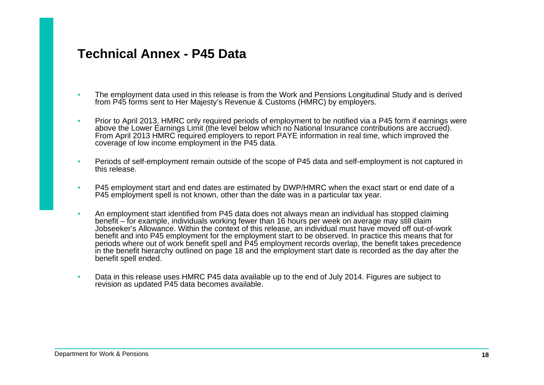### <span id="page-17-0"></span>**Technical Annex - P45 Data**

- • The employment data used in this release is from the Work and Pensions Longitudinal Study and is derived from P45 forms sent to Her Majesty's Revenue & Customs (HMRC) by employers.
- • Prior to April 2013, HMRC only required periods of employment to be notified via a P45 form if earnings were above the Lower Earnings Limit (the level below which no National Insurance contributions are accrued). From April 2013 HMRC required employers to report PAYE information in real time, which improved the coverage of low income employment in the P45 data.
- • Periods of self-employment remain outside of the scope of P45 data and self-employment is not captured in this release.
- • P45 employment start and end dates are estimated by DWP/HMRC when the exact start or end date of a P45 employment spell is not known, other than the date was in a particular tax year.
- • An employment start identified from P45 data does not always mean an individual has stopped claiming benefit – for example, individuals working fewer than 16 hours per week on average may still claim Jobseeker's Allowance. Within the context of this release, an individual must have moved off out-of-work benefit and into P45 employment for the employment start to be observed. In practice this means that for periods where out of work benefit spell and P45 employment records overlap, the benefit takes precedence in the benefit hierarchy outlined on page 18 and the employment start date is recorded as the day after the benefit spell ended.
- • Data in this release uses HMRC P45 data available up to the end of July 2014. Figures are subject to revision as updated P45 data becomes available.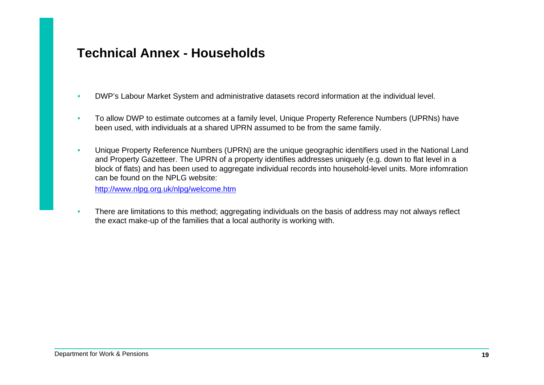### <span id="page-18-0"></span>**Technical Annex - Households**

- •DWP's Labour Market System and administrative datasets record information at the individual level.
- • To allow DWP to estimate outcomes at a family level, Unique Property Reference Numbers (UPRNs) have been used, with individuals at a shared UPRN assumed to be from the same family.
- • Unique Property Reference Numbers (UPRN) are the unique geographic identifiers used in the National Land and Property Gazetteer. The UPRN of a property identifies addresses uniquely (e.g. down to flat level in a block of flats) and has been used to aggregate individual records into household-level units. More infomration can be found on the NPLG website:

http://www.nlpg.org.uk/nlpg/welcome.htm

• There are limitations to this method; aggregating individuals on the basis of address may not always reflect the exact make-up of the families that a local authority is working with.